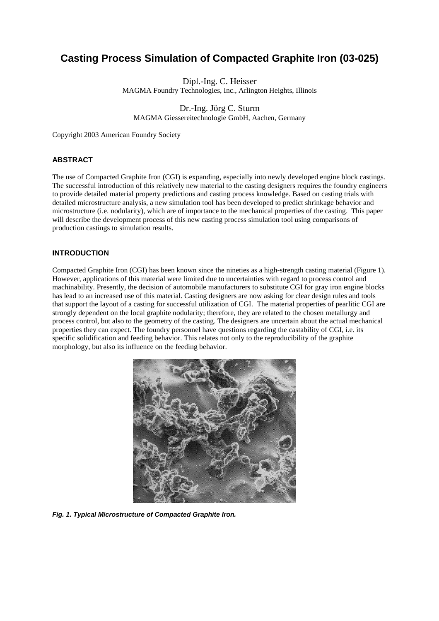# **Casting Process Simulation of Compacted Graphite Iron (03-025)**

Dipl.-Ing. C. Heisser MAGMA Foundry Technologies, Inc., Arlington Heights, Illinois

Dr.-Ing. Jörg C. Sturm MAGMA Giessereitechnologie GmbH, Aachen, Germany

Copyright 2003 American Foundry Society

## **ABSTRACT**

The use of Compacted Graphite Iron (CGI) is expanding, especially into newly developed engine block castings. The successful introduction of this relatively new material to the casting designers requires the foundry engineers to provide detailed material property predictions and casting process knowledge. Based on casting trials with detailed microstructure analysis, a new simulation tool has been developed to predict shrinkage behavior and microstructure (i.e. nodularity), which are of importance to the mechanical properties of the casting. This paper will describe the development process of this new casting process simulation tool using comparisons of production castings to simulation results.

## **INTRODUCTION**

Compacted Graphite Iron (CGI) has been known since the nineties as a high-strength casting material (Figure 1). However, applications of this material were limited due to uncertainties with regard to process control and machinability. Presently, the decision of automobile manufacturers to substitute CGI for gray iron engine blocks has lead to an increased use of this material. Casting designers are now asking for clear design rules and tools that support the layout of a casting for successful utilization of CGI. The material properties of pearlitic CGI are strongly dependent on the local graphite nodularity; therefore, they are related to the chosen metallurgy and process control, but also to the geometry of the casting. The designers are uncertain about the actual mechanical properties they can expect. The foundry personnel have questions regarding the castability of CGI, i.e. its specific solidification and feeding behavior. This relates not only to the reproducibility of the graphite morphology, but also its influence on the feeding behavior.



*Fig. 1. Typical Microstructure of Compacted Graphite Iron.*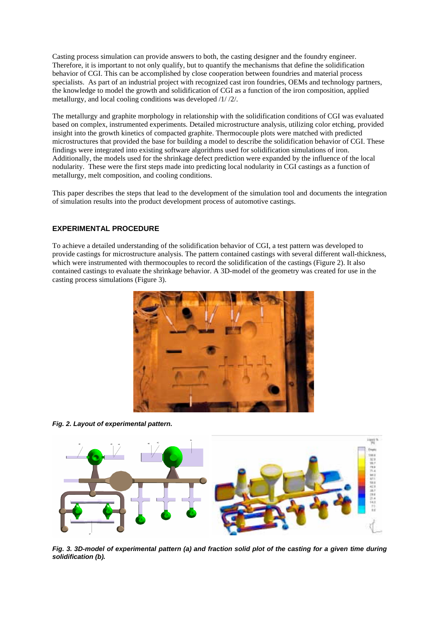Casting process simulation can provide answers to both, the casting designer and the foundry engineer. Therefore, it is important to not only qualify, but to quantify the mechanisms that define the solidification behavior of CGI. This can be accomplished by close cooperation between foundries and material process specialists. As part of an industrial project with recognized cast iron foundries, OEMs and technology partners, the knowledge to model the growth and solidification of CGI as a function of the iron composition, applied metallurgy, and local cooling conditions was developed /1/ /2/.

The metallurgy and graphite morphology in relationship with the solidification conditions of CGI was evaluated based on complex, instrumented experiments. Detailed microstructure analysis, utilizing color etching, provided insight into the growth kinetics of compacted graphite. Thermocouple plots were matched with predicted microstructures that provided the base for building a model to describe the solidification behavior of CGI. These findings were integrated into existing software algorithms used for solidification simulations of iron. Additionally, the models used for the shrinkage defect prediction were expanded by the influence of the local nodularity. These were the first steps made into predicting local nodularity in CGI castings as a function of metallurgy, melt composition, and cooling conditions.

This paper describes the steps that lead to the development of the simulation tool and documents the integration of simulation results into the product development process of automotive castings.

## **EXPERIMENTAL PROCEDURE**

To achieve a detailed understanding of the solidification behavior of CGI, a test pattern was developed to provide castings for microstructure analysis. The pattern contained castings with several different wall-thickness, which were instrumented with thermocouples to record the solidification of the castings (Figure 2). It also contained castings to evaluate the shrinkage behavior. A 3D-model of the geometry was created for use in the casting process simulations (Figure 3).



*Fig. 2. Layout of experimental pattern.*



*Fig. 3. 3D-model of experimental pattern (a) and fraction solid plot of the casting for a given time during solidification (b).*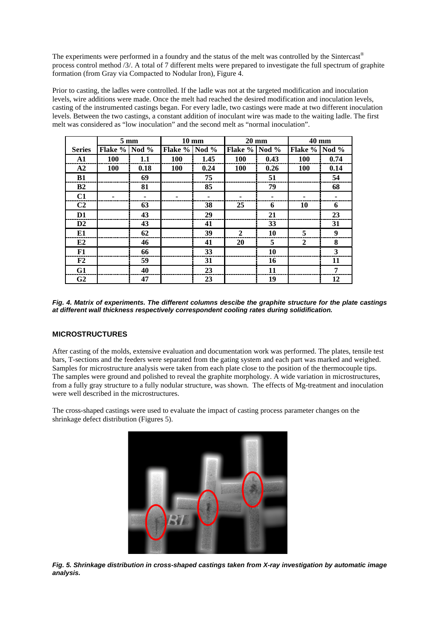The experiments were performed in a foundry and the status of the melt was controlled by the Sintercast® process control method /3/. A total of 7 different melts were prepared to investigate the full spectrum of graphite formation (from Gray via Compacted to Nodular Iron), Figure 4.

Prior to casting, the ladles were controlled. If the ladle was not at the targeted modification and inoculation levels, wire additions were made. Once the melt had reached the desired modification and inoculation levels, casting of the instrumented castings began. For every ladle, two castings were made at two different inoculation levels. Between the two castings, a constant addition of inoculant wire was made to the waiting ladle. The first melt was considered as "low inoculation" and the second melt as "normal inoculation".

|                | $5 \text{ mm}$ |         | $10 \text{ mm}$ |         | <b>20 mm</b>   |         | 40 mm          |         |
|----------------|----------------|---------|-----------------|---------|----------------|---------|----------------|---------|
| <b>Series</b>  | <b>Flake %</b> | Nod $%$ | <b>Flake %</b>  | Nod $%$ | <b>Flake %</b> | Nod $%$ | <b>Flake %</b> | Nod $%$ |
| A1             | 100            | 1.1     | 100             | 1.45    | <b>100</b>     | 0.43    | <b>100</b>     | 0.74    |
| A2             | 100            | 0.18    | 100             | 0.24    | 100            | 0.26    | 100            | 0.14    |
| B1             |                | 69      |                 | 75      |                | 51      |                | 54      |
| B2             |                | 81      |                 | 85      |                | 79      |                | 68      |
| C1             |                |         |                 |         |                |         |                | ۰       |
| C <sub>2</sub> |                | 63      |                 | 38      | 25             | 6       | 10             | 6       |
| D <sub>1</sub> |                | 43      |                 | 29      |                | 21      |                | 23      |
| D2             |                | 43      |                 | 41      |                | 33      |                | 31      |
| E1             |                | 62      |                 | 39      | $\mathbf{2}$   | 10      | 5              | 9       |
| E2             |                | 46      |                 | 41      | 20             | 5       | $\mathbf{2}$   | 8       |
| F1             |                | 66      |                 | 33      |                | 10      |                | 3       |
| F <sub>2</sub> |                | 59      |                 | 31      |                | 16      |                | 11      |
| G1             |                | 40      |                 | 23      |                | 11      |                | 7       |
| G <sub>2</sub> |                | 47      |                 | 23      |                | 19      |                | 12      |

*Fig. 4. Matrix of experiments. The different columns descibe the graphite structure for the plate castings at different wall thickness respectively correspondent cooling rates during solidification.*

# **MICROSTRUCTURES**

After casting of the molds, extensive evaluation and documentation work was performed. The plates, tensile test bars, T-sections and the feeders were separated from the gating system and each part was marked and weighed. Samples for microstructure analysis were taken from each plate close to the position of the thermocouple tips. The samples were ground and polished to reveal the graphite morphology. A wide variation in microstructures, from a fully gray structure to a fully nodular structure, was shown. The effects of Mg-treatment and inoculation were well described in the microstructures.

The cross-shaped castings were used to evaluate the impact of casting process parameter changes on the shrinkage defect distribution (Figures 5).



*Fig. 5. Shrinkage distribution in cross-shaped castings taken from X-ray investigation by automatic image analysis.*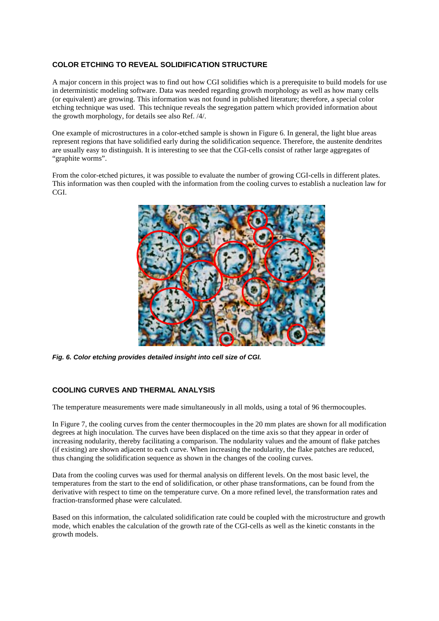# **COLOR ETCHING TO REVEAL SOLIDIFICATION STRUCTURE**

A major concern in this project was to find out how CGI solidifies which is a prerequisite to build models for use in deterministic modeling software. Data was needed regarding growth morphology as well as how many cells (or equivalent) are growing. This information was not found in published literature; therefore, a special color etching technique was used. This technique reveals the segregation pattern which provided information about the growth morphology, for details see also Ref. /4/.

One example of microstructures in a color-etched sample is shown in Figure 6. In general, the light blue areas represent regions that have solidified early during the solidification sequence. Therefore, the austenite dendrites are usually easy to distinguish. It is interesting to see that the CGI-cells consist of rather large aggregates of "graphite worms".

From the color-etched pictures, it was possible to evaluate the number of growing CGI-cells in different plates. This information was then coupled with the information from the cooling curves to establish a nucleation law for CGI.



*Fig. 6. Color etching provides detailed insight into cell size of CGI.*

#### **COOLING CURVES AND THERMAL ANALYSIS**

The temperature measurements were made simultaneously in all molds, using a total of 96 thermocouples.

In Figure 7, the cooling curves from the center thermocouples in the 20 mm plates are shown for all modification degrees at high inoculation. The curves have been displaced on the time axis so that they appear in order of increasing nodularity, thereby facilitating a comparison. The nodularity values and the amount of flake patches (if existing) are shown adjacent to each curve. When increasing the nodularity, the flake patches are reduced, thus changing the solidification sequence as shown in the changes of the cooling curves.

Data from the cooling curves was used for thermal analysis on different levels. On the most basic level, the temperatures from the start to the end of solidification, or other phase transformations, can be found from the derivative with respect to time on the temperature curve. On a more refined level, the transformation rates and fraction-transformed phase were calculated.

Based on this information, the calculated solidification rate could be coupled with the microstructure and growth mode, which enables the calculation of the growth rate of the CGI-cells as well as the kinetic constants in the growth models.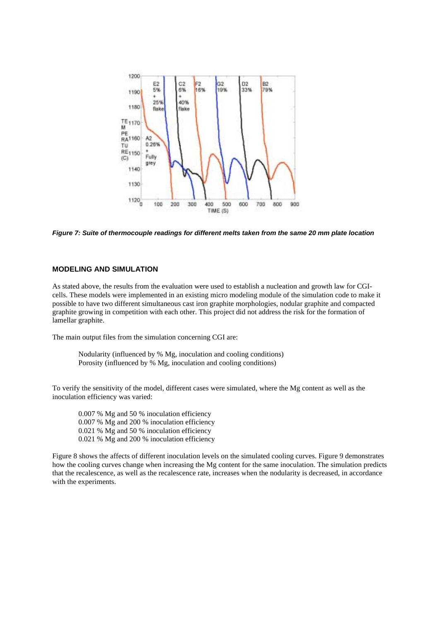

*Figure 7: Suite of thermocouple readings for different melts taken from the same 20 mm plate location*

#### **MODELING AND SIMULATION**

As stated above, the results from the evaluation were used to establish a nucleation and growth law for CGIcells. These models were implemented in an existing micro modeling module of the simulation code to make it possible to have two different simultaneous cast iron graphite morphologies, nodular graphite and compacted graphite growing in competition with each other. This project did not address the risk for the formation of lamellar graphite.

The main output files from the simulation concerning CGI are:

Nodularity (influenced by % Mg, inoculation and cooling conditions) Porosity (influenced by % Mg, inoculation and cooling conditions)

To verify the sensitivity of the model, different cases were simulated, where the Mg content as well as the inoculation efficiency was varied:

0.007 % Mg and 50 % inoculation efficiency 0.007 % Mg and 200 % inoculation efficiency 0.021 % Mg and 50 % inoculation efficiency 0.021 % Mg and 200 % inoculation efficiency

Figure 8 shows the affects of different inoculation levels on the simulated cooling curves. Figure 9 demonstrates how the cooling curves change when increasing the Mg content for the same inoculation. The simulation predicts that the recalescence, as well as the recalescence rate, increases when the nodularity is decreased, in accordance with the experiments.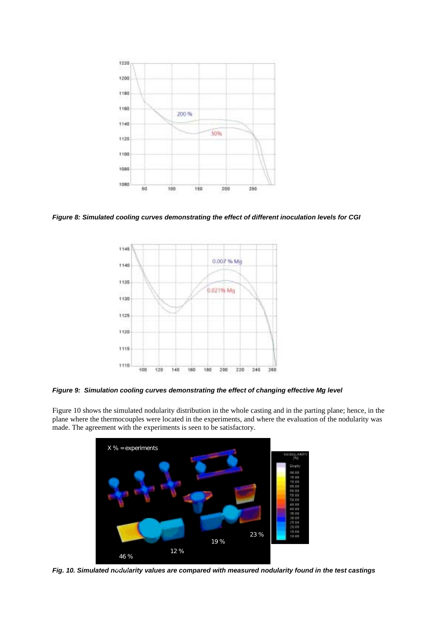

*Figure 8: Simulated cooling curves demonstrating the effect of different inoculation levels for CGI*



*Figure 9: Simulation cooling curves demonstrating the effect of changing effective Mg level*

Figure 10 shows the simulated nodularity distribution in the whole casting and in the parting plane; hence, in the plane where the thermocouples were located in the experiments, and where the evaluation of the nodularity was made. The agreement with the experiments is seen to be satisfactory.



*Fig. 10. Simulated nodularity values are compared with measured nodularity found in the test castings* 46 %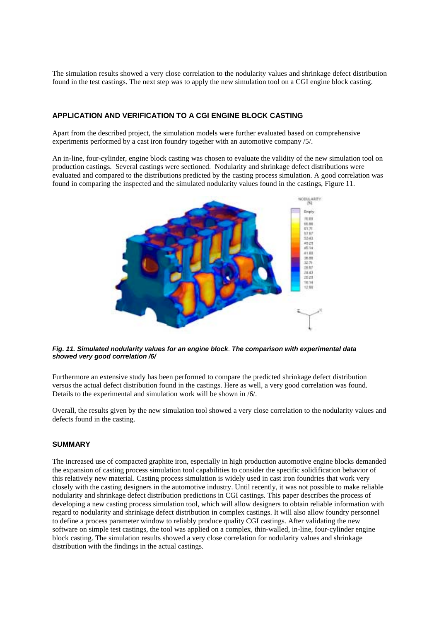The simulation results showed a very close correlation to the nodularity values and shrinkage defect distribution found in the test castings. The next step was to apply the new simulation tool on a CGI engine block casting.

# **APPLICATION AND VERIFICATION TO A CGI ENGINE BLOCK CASTING**

Apart from the described project, the simulation models were further evaluated based on comprehensive experiments performed by a cast iron foundry together with an automotive company /5/.

An in-line, four-cylinder, engine block casting was chosen to evaluate the validity of the new simulation tool on production castings. Several castings were sectioned. Nodularity and shrinkage defect distributions were evaluated and compared to the distributions predicted by the casting process simulation. A good correlation was found in comparing the inspected and the simulated nodularity values found in the castings, Figure 11.



*Fig. 11. Simulated nodularity values for an engine block*. *The comparison with experimental data showed very good correlation /6/*

Furthermore an extensive study has been performed to compare the predicted shrinkage defect distribution versus the actual defect distribution found in the castings. Here as well, a very good correlation was found. Details to the experimental and simulation work will be shown in /6/.

Overall, the results given by the new simulation tool showed a very close correlation to the nodularity values and defects found in the casting.

#### **SUMMARY**

The increased use of compacted graphite iron, especially in high production automotive engine blocks demanded the expansion of casting process simulation tool capabilities to consider the specific solidification behavior of this relatively new material. Casting process simulation is widely used in cast iron foundries that work very closely with the casting designers in the automotive industry. Until recently, it was not possible to make reliable nodularity and shrinkage defect distribution predictions in CGI castings. This paper describes the process of developing a new casting process simulation tool, which will allow designers to obtain reliable information with regard to nodularity and shrinkage defect distribution in complex castings. It will also allow foundry personnel to define a process parameter window to reliably produce quality CGI castings. After validating the new software on simple test castings, the tool was applied on a complex, thin-walled, in-line, four-cylinder engine block casting. The simulation results showed a very close correlation for nodularity values and shrinkage distribution with the findings in the actual castings.